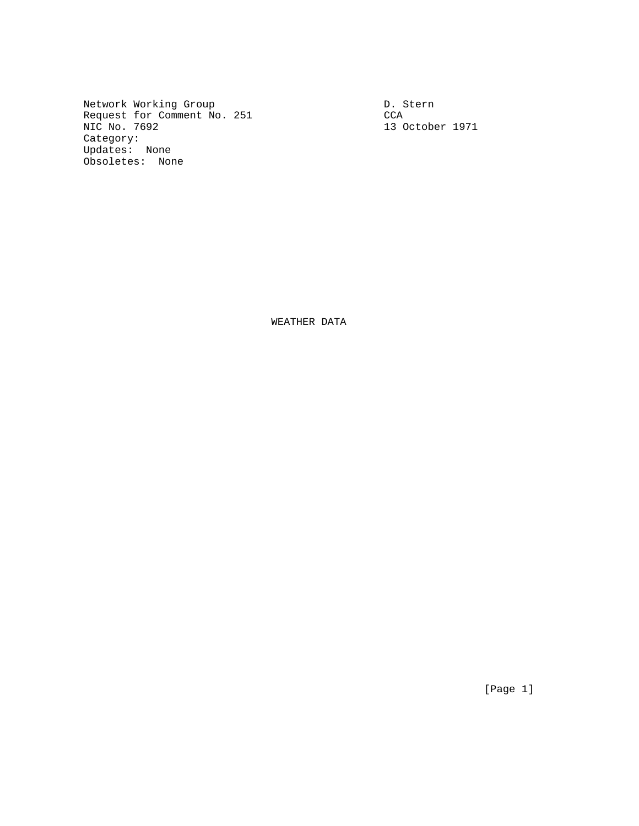Network Working Group<br>Request for Comment No. 251 CCA CCA Request for Comment No. 251<br>NIC No. 7692 Category: Updates: None Obsoletes: None

13 October 1971

WEATHER DATA

[Page 1]